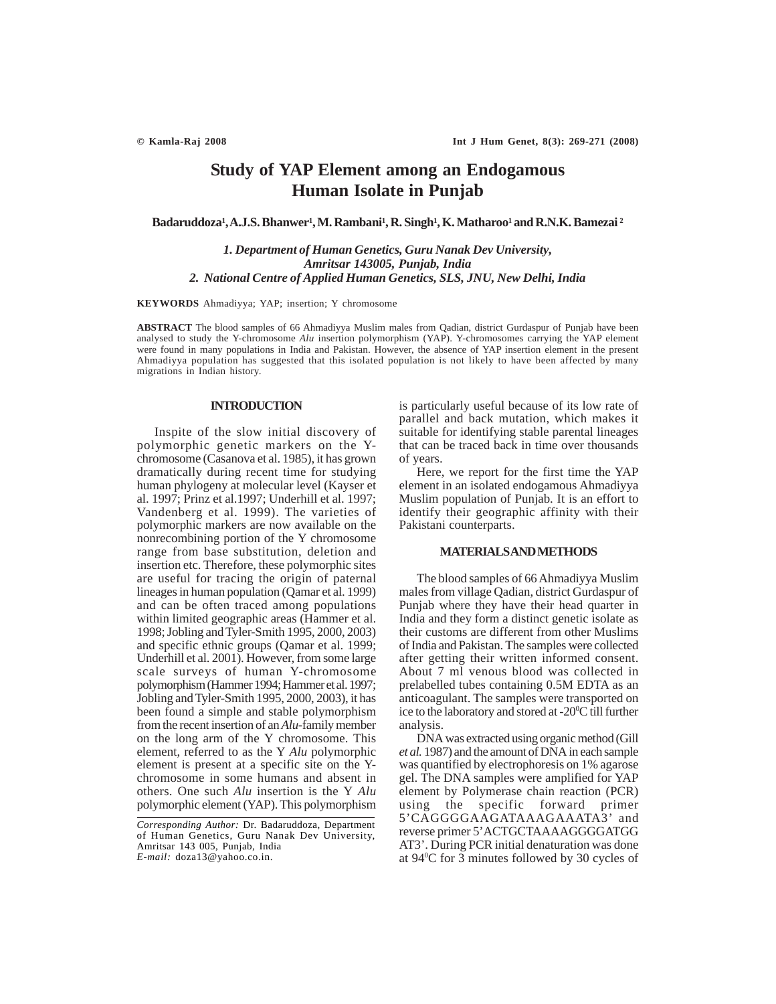# **Study of YAP Element among an Endogamous Human Isolate in Punjab**

**Badaruddoza1 , A.J.S. Bhanwer1 , M. Rambani1 , R. Singh1 , K. Matharoo1 and R.N.K. Bamezai 2**

*1. Department of Human Genetics, Guru Nanak Dev University, Amritsar 143005, Punjab, India 2. National Centre of Applied Human Genetics, SLS, JNU, New Delhi, India*

**KEYWORDS** Ahmadiyya; YAP; insertion; Y chromosome

**ABSTRACT** The blood samples of 66 Ahmadiyya Muslim males from Qadian, district Gurdaspur of Punjab have been analysed to study the Y-chromosome *Alu* insertion polymorphism (YAP). Y-chromosomes carrying the YAP element were found in many populations in India and Pakistan. However, the absence of YAP insertion element in the present Ahmadiyya population has suggested that this isolated population is not likely to have been affected by many migrations in Indian history.

## **INTRODUCTION**

Inspite of the slow initial discovery of polymorphic genetic markers on the Ychromosome (Casanova et al. 1985), it has grown dramatically during recent time for studying human phylogeny at molecular level (Kayser et al. 1997; Prinz et al.1997; Underhill et al. 1997; Vandenberg et al. 1999). The varieties of polymorphic markers are now available on the nonrecombining portion of the Y chromosome range from base substitution, deletion and insertion etc. Therefore, these polymorphic sites are useful for tracing the origin of paternal lineages in human population (Qamar et al. 1999) and can be often traced among populations within limited geographic areas (Hammer et al. 1998; Jobling and Tyler-Smith 1995, 2000, 2003) and specific ethnic groups (Qamar et al. 1999; Underhill et al. 2001). However, from some large scale surveys of human Y-chromosome polymorphism (Hammer 1994; Hammer et al. 1997; Jobling and Tyler-Smith 1995, 2000, 2003), it has been found a simple and stable polymorphism from the recent insertion of an *Alu*-family member on the long arm of the Y chromosome. This element, referred to as the Y *Alu* polymorphic element is present at a specific site on the Ychromosome in some humans and absent in others. One such *Alu* insertion is the Y *Alu* polymorphic element (YAP). This polymorphism

is particularly useful because of its low rate of parallel and back mutation, which makes it suitable for identifying stable parental lineages that can be traced back in time over thousands of years.

Here, we report for the first time the YAP element in an isolated endogamous Ahmadiyya Muslim population of Punjab. It is an effort to identify their geographic affinity with their Pakistani counterparts.

### **MATERIALS AND METHODS**

The blood samples of 66 Ahmadiyya Muslim males from village Qadian, district Gurdaspur of Punjab where they have their head quarter in India and they form a distinct genetic isolate as their customs are different from other Muslims of India and Pakistan. The samples were collected after getting their written informed consent. About 7 ml venous blood was collected in prelabelled tubes containing 0.5M EDTA as an anticoagulant. The samples were transported on ice to the laboratory and stored at -20°C till further analysis.

DNA was extracted using organic method (Gill *et al.* 1987) and the amount of DNA in each sample was quantified by electrophoresis on 1% agarose gel. The DNA samples were amplified for YAP element by Polymerase chain reaction (PCR) using the specific forward primer 5'CAGGGGAAGATAAAGAAATA3' and reverse primer 5'ACTGCTAAAAGGGGATGG AT3'. During PCR initial denaturation was done at 940 C for 3 minutes followed by 30 cycles of

*Corresponding Author:* Dr. Badaruddoza, Department of Human Genetics, Guru Nanak Dev University, Amritsar 143 005, Punjab, India *E-mail:* doza13@yahoo.co.in.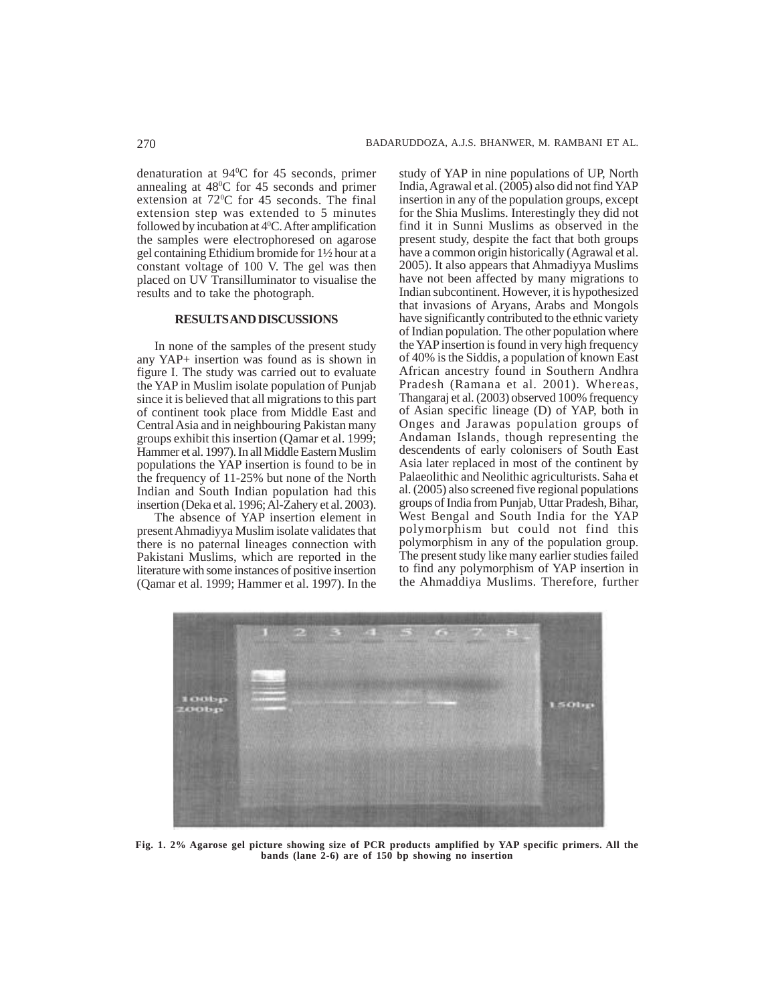denaturation at 940 C for 45 seconds, primer annealing at 48<sup>o</sup>C for 45 seconds and primer extension at 72<sup>o</sup>C for 45 seconds. The final extension step was extended to 5 minutes followed by incubation at 4<sup>0</sup>C. After amplification the samples were electrophoresed on agarose gel containing Ethidium bromide for 1½ hour at a constant voltage of 100 V. The gel was then placed on UV Transilluminator to visualise the results and to take the photograph.

## **RESULTS AND DISCUSSIONS**

In none of the samples of the present study any YAP+ insertion was found as is shown in figure I. The study was carried out to evaluate the YAP in Muslim isolate population of Punjab since it is believed that all migrations to this part of continent took place from Middle East and Central Asia and in neighbouring Pakistan many groups exhibit this insertion (Qamar et al. 1999; Hammer et al. 1997). In all Middle Eastern Muslim populations the YAP insertion is found to be in the frequency of 11-25% but none of the North Indian and South Indian population had this insertion (Deka et al. 1996; Al-Zahery et al. 2003).

The absence of YAP insertion element in present Ahmadiyya Muslim isolate validates that there is no paternal lineages connection with Pakistani Muslims, which are reported in the literature with some instances of positive insertion (Qamar et al. 1999; Hammer et al. 1997). In the study of YAP in nine populations of UP, North India, Agrawal et al. (2005) also did not find YAP insertion in any of the population groups, except for the Shia Muslims. Interestingly they did not find it in Sunni Muslims as observed in the present study, despite the fact that both groups have a common origin historically (Agrawal et al. 2005). It also appears that Ahmadiyya Muslims have not been affected by many migrations to Indian subcontinent. However, it is hypothesized that invasions of Aryans, Arabs and Mongols have significantly contributed to the ethnic variety of Indian population. The other population where the YAP insertion is found in very high frequency of 40% is the Siddis, a population of known East African ancestry found in Southern Andhra Pradesh (Ramana et al. 2001). Whereas, Thangaraj et al. (2003) observed 100% frequency of Asian specific lineage (D) of YAP, both in Onges and Jarawas population groups of Andaman Islands, though representing the descendents of early colonisers of South East Asia later replaced in most of the continent by Palaeolithic and Neolithic agriculturists. Saha et al. (2005) also screened five regional populations groups of India from Punjab, Uttar Pradesh, Bihar, West Bengal and South India for the YAP polymorphism but could not find this polymorphism in any of the population group. The present study like many earlier studies failed to find any polymorphism of YAP insertion in the Ahmaddiya Muslims. Therefore, further



**Fig. 1. 2% Agarose gel picture showing size of PCR products amplified by YAP specific primers. All the bands (lane 2-6) are of 150 bp showing no insertion**